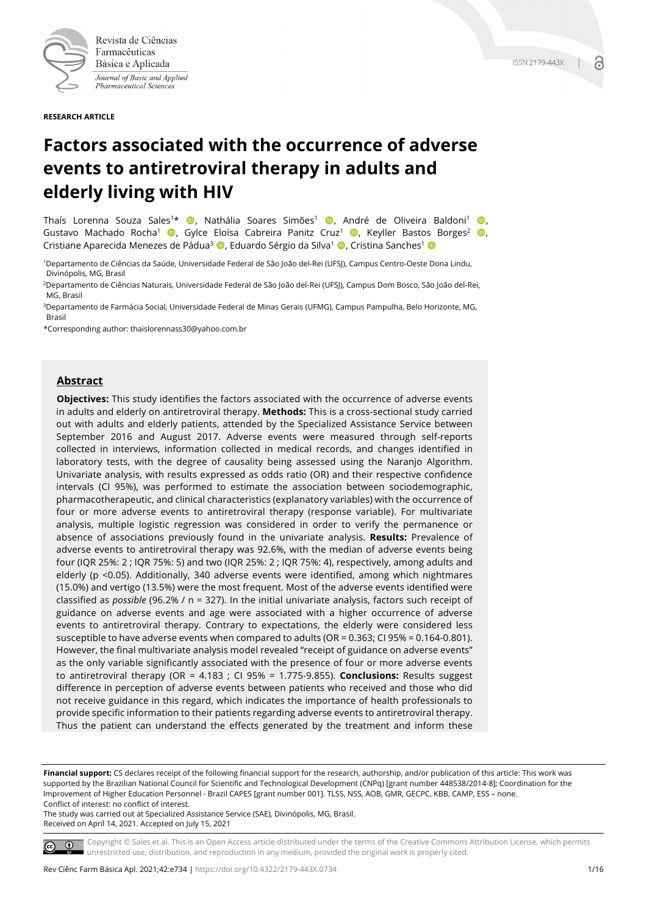

Revista de Ciências Farmacêuticas Básica e Aplicada Journal of Basic and Applied Pharmaceutical Sciences

**RESEARCH ARTICLE**

# **Factors associated with the occurrence of adverse events to antiretroviral therapy in adults and elderly living with HIV**

Thaís Lorenna Souza Sales<sup>1\*</sup> (D. Nathália Soares Simões<sup>1</sup> (D. André de Oliveira Baldoni<sup>1</sup> (D. Gustavo Machado Rocha<sup>1</sup> (D. Gylce Eloísa Cabreira Panitz Cruz<sup>1</sup> (D. Keyller Bastos Borges<sup>2</sup> (D. Cristiane Aparecida Menezes de Pádua<sup>3</sup> (D, Eduardo Sérgio da Silva<sup>1</sup> (D, Cristina Sanches<sup>1</sup> (D

1Departamento de Ciências da Saúde, Universidade Federal de São João del-Rei (UFSJ), Campus Centro-Oeste Dona Lindu, Divinópolis, MG, Brasil

2Departamento de Ciências Naturais, Universidade Federal de São João del-Rei (UFSJ), Campus Dom Bosco, São João del-Rei, MG, Brasil

3Departamento de Farmácia Social, Universidade Federal de Minas Gerais (UFMG), Campus Pampulha, Belo Horizonte, MG, Brasil

\*Corresponding author: thaislorennass30@yahoo.com.br

# **Abstract**

**Objectives:** This study identifies the factors associated with the occurrence of adverse events in adults and elderly on antiretroviral therapy. **Methods:** This is a cross-sectional study carried out with adults and elderly patients, attended by the Specialized Assistance Service between September 2016 and August 2017. Adverse events were measured through self-reports collected in interviews, information collected in medical records, and changes identified in laboratory tests, with the degree of causality being assessed using the Naranjo Algorithm. Univariate analysis, with results expressed as odds ratio (OR) and their respective confidence intervals (CI 95%), was performed to estimate the association between sociodemographic, pharmacotherapeutic, and clinical characteristics (explanatory variables) with the occurrence of four or more adverse events to antiretroviral therapy (response variable). For multivariate analysis, multiple logistic regression was considered in order to verify the permanence or absence of associations previously found in the univariate analysis. **Results:** Prevalence of adverse events to antiretroviral therapy was 92.6%, with the median of adverse events being four (IQR 25%: 2 ; IQR 75%: 5) and two (IQR 25%: 2 ; IQR 75%: 4), respectively, among adults and elderly (p <0.05). Additionally, 340 adverse events were identified, among which nightmares (15.0%) and vertigo (13.5%) were the most frequent. Most of the adverse events identified were classified as *possible* (96.2% / n = 327). In the initial univariate analysis, factors such receipt of guidance on adverse events and age were associated with a higher occurrence of adverse events to antiretroviral therapy. Contrary to expectations, the elderly were considered less susceptible to have adverse events when compared to adults (OR = 0.363; CI 95% = 0.164-0.801). However, the final multivariate analysis model revealed "receipt of guidance on adverse events" as the only variable significantly associated with the presence of four or more adverse events to antiretroviral therapy (OR = 4.183 ; CI 95% = 1.775-9.855). **Conclusions:** Results suggest difference in perception of adverse events between patients who received and those who did not receive guidance in this regard, which indicates the importance of health professionals to provide specific information to their patients regarding adverse events to antiretroviral therapy. Thus the patient can understand the effects generated by the treatment and inform these

**Financial support:** CS declares receipt of the following financial support for the research, authorship, and/or publication of this article: This work was supported by the Brazilian National Council for Scientific and Technological Development (CNPq) [grant number 448538/2014-8]; Coordination for the Improvement of Higher Education Personnel - Brazil CAPES [grant number 001]. TLSS, NSS, AOB, GMR, GECPC, KBB, CAMP, ESS – none. Conflict of interest: no conflict of interest.

The study was carried out at Specialized Assistance Service (SAE), Divinópolis, MG, Brasil. Received on April 14, 2021. Accepted on July 15, 2021



Copyright © Sales et al. This is an Open Access article distributed under the terms of the Creative Commons Attribution License, which permits unrestricted use, distribution, and reproduction in any medium, provided the original work is properly cited.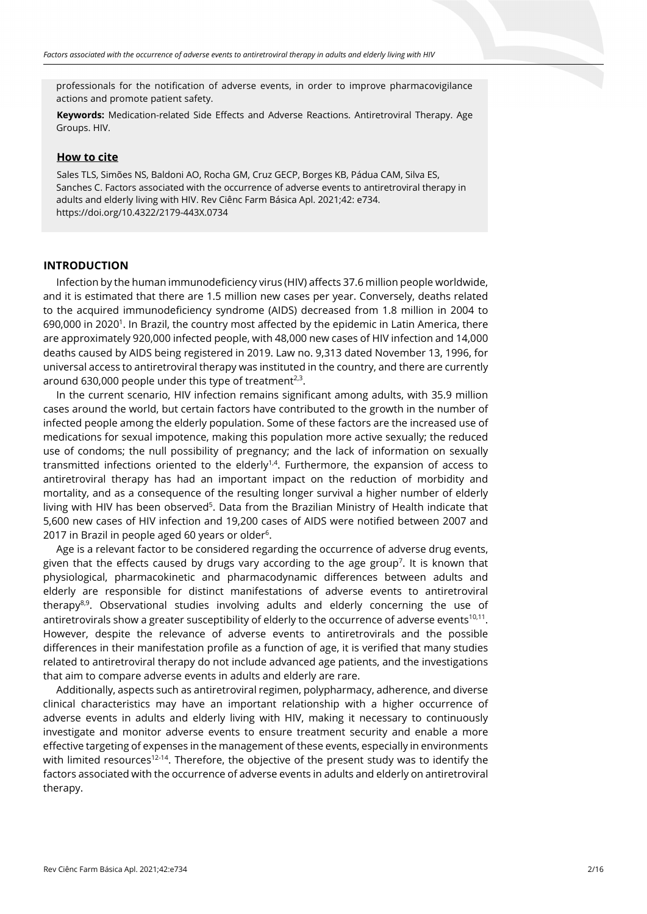professionals for the notification of adverse events, in order to improve pharmacovigilance actions and promote patient safety.

**Keywords:** Medication-related Side Effects and Adverse Reactions. Antiretroviral Therapy. Age Groups. HIV.

#### **How to cite**

Sales TLS, Simões NS, Baldoni AO, Rocha GM, Cruz GECP, Borges KB, Pádua CAM, Silva ES, Sanches C. Factors associated with the occurrence of adverse events to antiretroviral therapy in adults and elderly living with HIV. Rev Ciênc Farm Básica Apl. 2021;42: e734. https://doi.org/10.4322/2179-443X.0734

# **INTRODUCTION**

Infection by the human immunodeficiency virus (HIV) affects 37.6 million people worldwide, and it is estimated that there are 1.5 million new cases per year. Conversely, deaths related to the acquired immunodeficiency syndrome (AIDS) decreased from 1.8 million in 2004 to 690,000 in 2020<sup>1</sup>. In Brazil, the country most affected by the epidemic in Latin America, there are approximately 920,000 infected people, with 48,000 new cases of HIV infection and 14,000 deaths caused by AIDS being registered in 2019. Law no. 9,313 dated November 13, 1996, for universal access to antiretroviral therapy was instituted in the country, and there are currently around 630,000 people under this type of treatment<sup>2,3</sup>.

In the current scenario, HIV infection remains significant among adults, with 35.9 million cases around the world, but certain factors have contributed to the growth in the number of infected people among the elderly population. Some of these factors are the increased use of medications for sexual impotence, making this population more active sexually; the reduced use of condoms; the null possibility of pregnancy; and the lack of information on sexually transmitted infections oriented to the elderly $1.4$ . Furthermore, the expansion of access to antiretroviral therapy has had an important impact on the reduction of morbidity and mortality, and as a consequence of the resulting longer survival a higher number of elderly living with HIV has been observed<sup>5</sup>. Data from the Brazilian Ministry of Health indicate that 5,600 new cases of HIV infection and 19,200 cases of AIDS were notified between 2007 and 2017 in Brazil in people aged 60 years or older $6$ .

Age is a relevant factor to be considered regarding the occurrence of adverse drug events, given that the effects caused by drugs vary according to the age group<sup>7</sup>. It is known that physiological, pharmacokinetic and pharmacodynamic differences between adults and elderly are responsible for distinct manifestations of adverse events to antiretroviral therapy $8.9$ . Observational studies involving adults and elderly concerning the use of antiretrovirals show a greater susceptibility of elderly to the occurrence of adverse events $10,11$ . However, despite the relevance of adverse events to antiretrovirals and the possible differences in their manifestation profile as a function of age, it is verified that many studies related to antiretroviral therapy do not include advanced age patients, and the investigations that aim to compare adverse events in adults and elderly are rare.

Additionally, aspects such as antiretroviral regimen, polypharmacy, adherence, and diverse clinical characteristics may have an important relationship with a higher occurrence of adverse events in adults and elderly living with HIV, making it necessary to continuously investigate and monitor adverse events to ensure treatment security and enable a more effective targeting of expenses in the management of these events, especially in environments with limited resources<sup>12-14</sup>. Therefore, the objective of the present study was to identify the factors associated with the occurrence of adverse events in adults and elderly on antiretroviral therapy.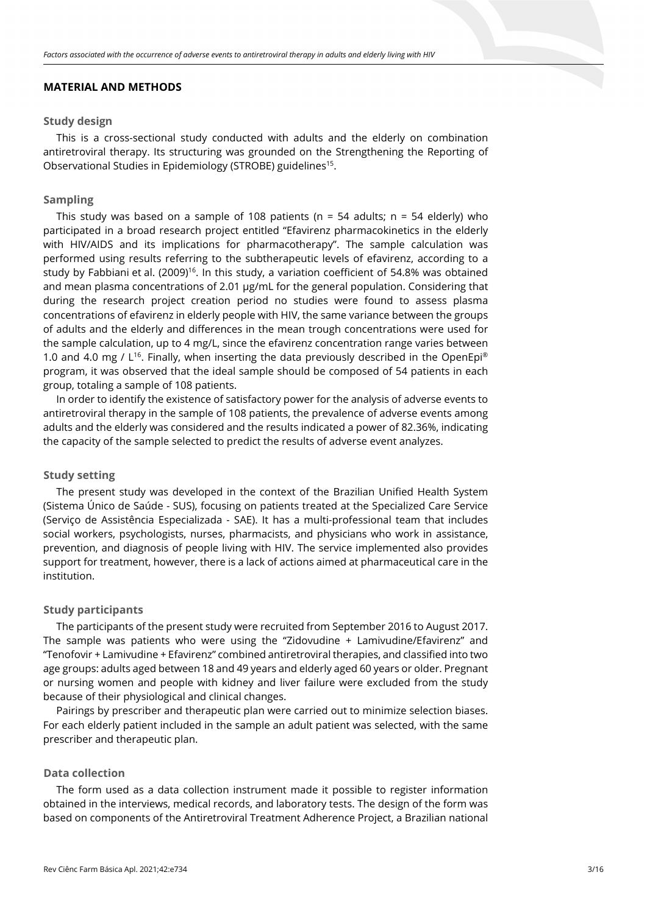## **MATERIAL AND METHODS**

## **Study design**

This is a cross-sectional study conducted with adults and the elderly on combination antiretroviral therapy. Its structuring was grounded on the Strengthening the Reporting of Observational Studies in Epidemiology (STROBE) guidelines15.

## **Sampling**

This study was based on a sample of 108 patients ( $n = 54$  adults;  $n = 54$  elderly) who participated in a broad research project entitled "Efavirenz pharmacokinetics in the elderly with HIV/AIDS and its implications for pharmacotherapy". The sample calculation was performed using results referring to the subtherapeutic levels of efavirenz, according to a study by Fabbiani et al. (2009)<sup>16</sup>. In this study, a variation coefficient of 54.8% was obtained and mean plasma concentrations of 2.01 μg/mL for the general population. Considering that during the research project creation period no studies were found to assess plasma concentrations of efavirenz in elderly people with HIV, the same variance between the groups of adults and the elderly and differences in the mean trough concentrations were used for the sample calculation, up to 4 mg/L, since the efavirenz concentration range varies between 1.0 and 4.0 mg /  $L^{16}$ . Finally, when inserting the data previously described in the OpenEpi® program, it was observed that the ideal sample should be composed of 54 patients in each group, totaling a sample of 108 patients.

In order to identify the existence of satisfactory power for the analysis of adverse events to antiretroviral therapy in the sample of 108 patients, the prevalence of adverse events among adults and the elderly was considered and the results indicated a power of 82.36%, indicating the capacity of the sample selected to predict the results of adverse event analyzes.

## **Study setting**

The present study was developed in the context of the Brazilian Unified Health System (Sistema Único de Saúde - SUS), focusing on patients treated at the Specialized Care Service (Serviço de Assistência Especializada - SAE). It has a multi-professional team that includes social workers, psychologists, nurses, pharmacists, and physicians who work in assistance, prevention, and diagnosis of people living with HIV. The service implemented also provides support for treatment, however, there is a lack of actions aimed at pharmaceutical care in the institution.

## **Study participants**

The participants of the present study were recruited from September 2016 to August 2017. The sample was patients who were using the "Zidovudine + Lamivudine/Efavirenz" and "Tenofovir + Lamivudine + Efavirenz" combined antiretroviral therapies, and classified into two age groups: adults aged between 18 and 49 years and elderly aged 60 years or older. Pregnant or nursing women and people with kidney and liver failure were excluded from the study because of their physiological and clinical changes.

Pairings by prescriber and therapeutic plan were carried out to minimize selection biases. For each elderly patient included in the sample an adult patient was selected, with the same prescriber and therapeutic plan.

#### **Data collection**

The form used as a data collection instrument made it possible to register information obtained in the interviews, medical records, and laboratory tests. The design of the form was based on components of the Antiretroviral Treatment Adherence Project, a Brazilian national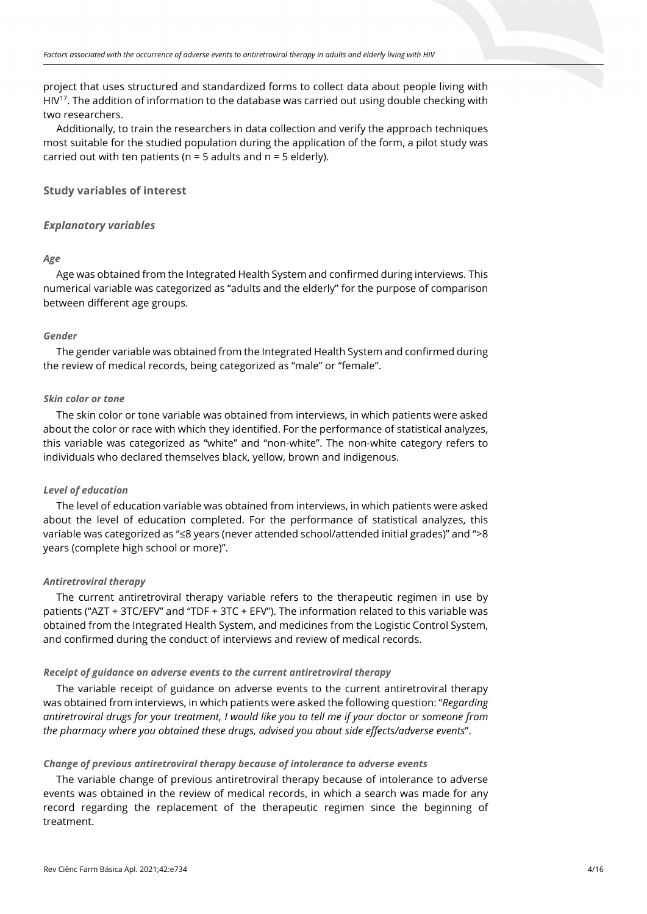project that uses structured and standardized forms to collect data about people living with HIV<sup>17</sup>. The addition of information to the database was carried out using double checking with two researchers.

Additionally, to train the researchers in data collection and verify the approach techniques most suitable for the studied population during the application of the form, a pilot study was carried out with ten patients ( $n = 5$  adults and  $n = 5$  elderly).

**Study variables of interest**

## *Explanatory variables*

#### *Age*

Age was obtained from the Integrated Health System and confirmed during interviews. This numerical variable was categorized as "adults and the elderly" for the purpose of comparison between different age groups.

#### *Gender*

The gender variable was obtained from the Integrated Health System and confirmed during the review of medical records, being categorized as "male" or "female".

## *Skin color or tone*

The skin color or tone variable was obtained from interviews, in which patients were asked about the color or race with which they identified. For the performance of statistical analyzes, this variable was categorized as "white" and "non-white". The non-white category refers to individuals who declared themselves black, yellow, brown and indigenous.

#### *Level of education*

The level of education variable was obtained from interviews, in which patients were asked about the level of education completed. For the performance of statistical analyzes, this variable was categorized as "≤8 years (never attended school/attended initial grades)" and ">8 years (complete high school or more)".

#### *Antiretroviral therapy*

The current antiretroviral therapy variable refers to the therapeutic regimen in use by patients ("AZT + 3TC/EFV" and "TDF + 3TC + EFV"). The information related to this variable was obtained from the Integrated Health System, and medicines from the Logistic Control System, and confirmed during the conduct of interviews and review of medical records.

#### *Receipt of guidance on adverse events to the current antiretroviral therapy*

The variable receipt of guidance on adverse events to the current antiretroviral therapy was obtained from interviews, in which patients were asked the following question: "*Regarding antiretroviral drugs for your treatment, I would like you to tell me if your doctor or someone from the pharmacy where you obtained these drugs, advised you about side effects/adverse events*".

## *Change of previous antiretroviral therapy because of intolerance to adverse events*

The variable change of previous antiretroviral therapy because of intolerance to adverse events was obtained in the review of medical records, in which a search was made for any record regarding the replacement of the therapeutic regimen since the beginning of treatment.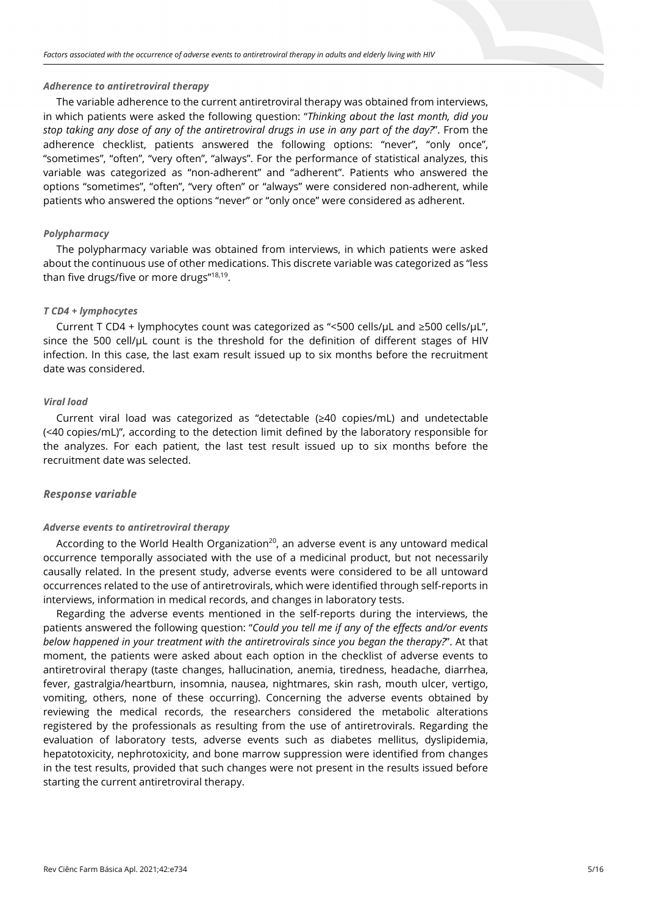#### *Adherence to antiretroviral therapy*

The variable adherence to the current antiretroviral therapy was obtained from interviews, in which patients were asked the following question: "*Thinking about the last month, did you stop taking any dose of any of the antiretroviral drugs in use in any part of the day?*". From the adherence checklist, patients answered the following options: "never", "only once", "sometimes", "often", "very often", "always". For the performance of statistical analyzes, this variable was categorized as "non-adherent" and "adherent". Patients who answered the options "sometimes", "often", "very often" or "always" were considered non-adherent, while patients who answered the options "never" or "only once" were considered as adherent.

#### *Polypharmacy*

The polypharmacy variable was obtained from interviews, in which patients were asked about the continuous use of other medications. This discrete variable was categorized as "less than five drugs/five or more drugs"<sup>18,19</sup>.

#### *T CD4 + lymphocytes*

Current T CD4 + lymphocytes count was categorized as "<500 cells/μL and ≥500 cells/μL", since the 500 cell/μL count is the threshold for the definition of different stages of HIV infection. In this case, the last exam result issued up to six months before the recruitment date was considered.

#### *Viral load*

Current viral load was categorized as "detectable (≥40 copies/mL) and undetectable (<40 copies/mL)", according to the detection limit defined by the laboratory responsible for the analyzes. For each patient, the last test result issued up to six months before the recruitment date was selected.

## *Response variable*

#### *Adverse events to antiretroviral therapy*

According to the World Health Organization<sup>20</sup>, an adverse event is any untoward medical occurrence temporally associated with the use of a medicinal product, but not necessarily causally related. In the present study, adverse events were considered to be all untoward occurrences related to the use of antiretrovirals, which were identified through self-reports in interviews, information in medical records, and changes in laboratory tests.

Regarding the adverse events mentioned in the self-reports during the interviews, the patients answered the following question: "*Could you tell me if any of the effects and/or events below happened in your treatment with the antiretrovirals since you began the therapy?*". At that moment, the patients were asked about each option in the checklist of adverse events to antiretroviral therapy (taste changes, hallucination, anemia, tiredness, headache, diarrhea, fever, gastralgia/heartburn, insomnia, nausea, nightmares, skin rash, mouth ulcer, vertigo, vomiting, others, none of these occurring). Concerning the adverse events obtained by reviewing the medical records, the researchers considered the metabolic alterations registered by the professionals as resulting from the use of antiretrovirals. Regarding the evaluation of laboratory tests, adverse events such as diabetes mellitus, dyslipidemia, hepatotoxicity, nephrotoxicity, and bone marrow suppression were identified from changes in the test results, provided that such changes were not present in the results issued before starting the current antiretroviral therapy.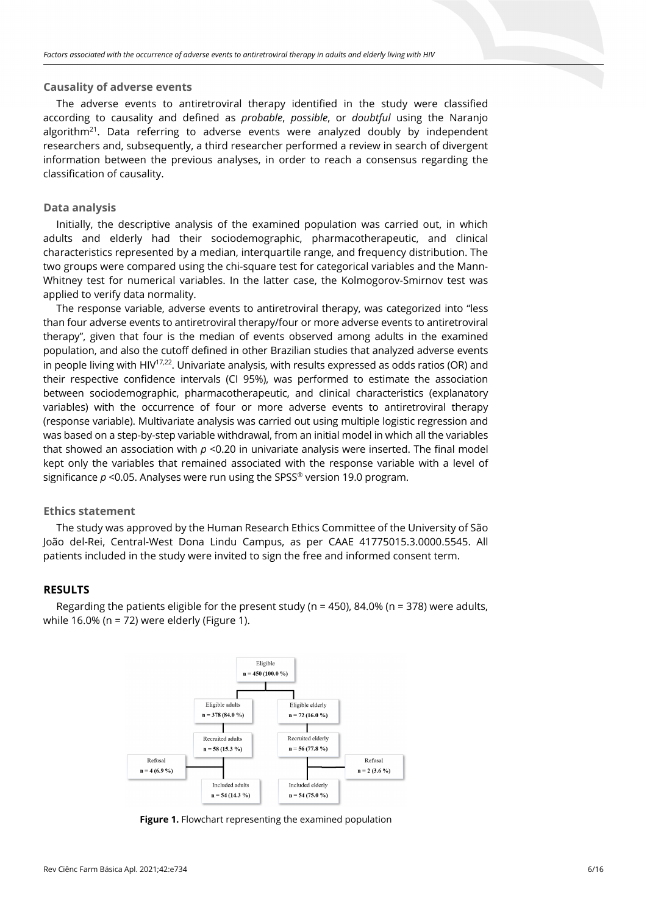#### **Causality of adverse events**

The adverse events to antiretroviral therapy identified in the study were classified according to causality and defined as *probable*, *possible*, or *doubtful* using the Naranjo algorithm<sup>21</sup>. Data referring to adverse events were analyzed doubly by independent researchers and, subsequently, a third researcher performed a review in search of divergent information between the previous analyses, in order to reach a consensus regarding the classification of causality.

## **Data analysis**

Initially, the descriptive analysis of the examined population was carried out, in which adults and elderly had their sociodemographic, pharmacotherapeutic, and clinical characteristics represented by a median, interquartile range, and frequency distribution. The two groups were compared using the chi-square test for categorical variables and the Mann-Whitney test for numerical variables. In the latter case, the Kolmogorov-Smirnov test was applied to verify data normality.

The response variable, adverse events to antiretroviral therapy, was categorized into "less than four adverse events to antiretroviral therapy/four or more adverse events to antiretroviral therapy", given that four is the median of events observed among adults in the examined population, and also the cutoff defined in other Brazilian studies that analyzed adverse events in people living with HIV<sup>17,22</sup>. Univariate analysis, with results expressed as odds ratios (OR) and their respective confidence intervals (CI 95%), was performed to estimate the association between sociodemographic, pharmacotherapeutic, and clinical characteristics (explanatory variables) with the occurrence of four or more adverse events to antiretroviral therapy (response variable). Multivariate analysis was carried out using multiple logistic regression and was based on a step-by-step variable withdrawal, from an initial model in which all the variables that showed an association with *p* <0.20 in univariate analysis were inserted. The final model kept only the variables that remained associated with the response variable with a level of significance  $p < 0.05$ . Analyses were run using the SPSS<sup>®</sup> version 19.0 program.

## **Ethics statement**

The study was approved by the Human Research Ethics Committee of the University of São João del-Rei, Central-West Dona Lindu Campus, as per CAAE 41775015.3.0000.5545. All patients included in the study were invited to sign the free and informed consent term.

## **RESULTS**

Regarding the patients eligible for the present study ( $n = 450$ ), 84.0% ( $n = 378$ ) were adults, while 16.0% (n = 72) were elderly (Figure 1).



**Figure 1.** Flowchart representing the examined population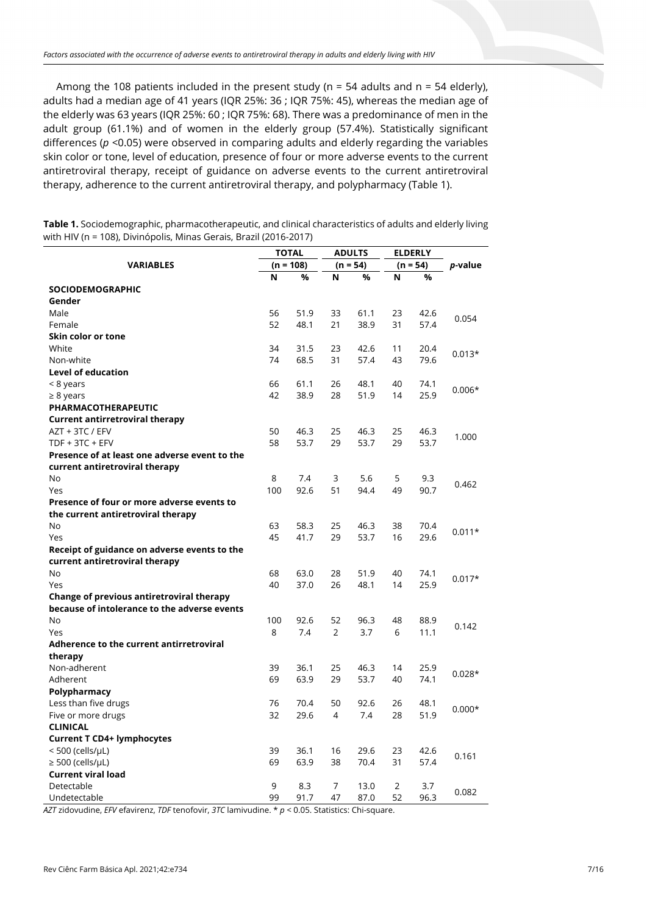Among the 108 patients included in the present study ( $n = 54$  adults and  $n = 54$  elderly), adults had a median age of 41 years (IQR 25%: 36 ; IQR 75%: 45), whereas the median age of the elderly was 63 years (IQR 25%: 60 ; IQR 75%: 68). There was a predominance of men in the adult group (61.1%) and of women in the elderly group (57.4%). Statistically significant differences ( $p$  <0.05) were observed in comparing adults and elderly regarding the variables skin color or tone, level of education, presence of four or more adverse events to the current antiretroviral therapy, receipt of guidance on adverse events to the current antiretroviral therapy, adherence to the current antiretroviral therapy, and polypharmacy (Table 1).

| <b>Table 1.</b> Sociodemographic, pharmacotherapeutic, and clinical characteristics of adults and elderly living |
|------------------------------------------------------------------------------------------------------------------|
| with HIV (n = 108), Divinópolis, Minas Gerais, Brazil (2016-2017)                                                |

| <b><i>VARIABLES</i></b>                          |     | <b>TOTAL</b> |    | <b>ADULTS</b> |    | <b>ELDERLY</b> | p-value  |
|--------------------------------------------------|-----|--------------|----|---------------|----|----------------|----------|
|                                                  |     | $(n = 108)$  |    | $(n = 54)$    |    | $(n = 54)$     |          |
|                                                  | N   | %            | N  | %             | N  | %              |          |
| <b>SOCIODEMOGRAPHIC</b>                          |     |              |    |               |    |                |          |
| Gender                                           |     |              |    |               |    |                |          |
| Male                                             | 56  | 51.9         | 33 | 61.1          | 23 | 42.6           | 0.054    |
| Female                                           | 52  | 48.1         | 21 | 38.9          | 31 | 57.4           |          |
| Skin color or tone                               |     |              |    |               |    |                |          |
| White                                            | 34  | 31.5         | 23 | 42.6          | 11 | 20.4           | $0.013*$ |
| Non-white                                        | 74  | 68.5         | 31 | 57.4          | 43 | 79.6           |          |
| <b>Level of education</b>                        |     |              |    |               |    |                |          |
| < 8 years                                        | 66  | 61.1         | 26 | 48.1          | 40 | 74.1           | $0.006*$ |
| $\geq 8$ years                                   | 42  | 38.9         | 28 | 51.9          | 14 | 25.9           |          |
| PHARMACOTHERAPEUTIC                              |     |              |    |               |    |                |          |
| <b>Current antirretroviral therapy</b>           |     |              |    |               |    |                |          |
| AZT + 3TC / EFV                                  | 50  | 46.3         | 25 | 46.3          | 25 | 46.3           | 1.000    |
| $TDF + 3TC + EFV$                                | 58  | 53.7         | 29 | 53.7          | 29 | 53.7           |          |
| Presence of at least one adverse event to the    |     |              |    |               |    |                |          |
| current antiretroviral therapy                   |     |              |    |               |    |                |          |
| No                                               | 8   | 7.4          | 3  | 5.6           | 5  | 9.3            | 0.462    |
| Yes                                              | 100 | 92.6         | 51 | 94.4          | 49 | 90.7           |          |
| Presence of four or more adverse events to       |     |              |    |               |    |                |          |
| the current antiretroviral therapy               |     |              |    |               |    |                |          |
| No                                               | 63  | 58.3         | 25 | 46.3          | 38 | 70.4           |          |
| Yes                                              | 45  | 41.7         | 29 | 53.7          | 16 | 29.6           | $0.011*$ |
| Receipt of guidance on adverse events to the     |     |              |    |               |    |                |          |
| current antiretroviral therapy                   |     |              |    |               |    |                |          |
| No                                               | 68  | 63.0         | 28 | 51.9          | 40 | 74.1           |          |
| Yes                                              | 40  | 37.0         | 26 | 48.1          | 14 | 25.9           | $0.017*$ |
| <b>Change of previous antiretroviral therapy</b> |     |              |    |               |    |                |          |
| because of intolerance to the adverse events     |     |              |    |               |    |                |          |
| No                                               | 100 | 92.6         | 52 | 96.3          | 48 | 88.9           |          |
| Yes                                              | 8   | 7.4          | 2  | 3.7           | 6  | 11.1           | 0.142    |
| Adherence to the current antirretroviral         |     |              |    |               |    |                |          |
| therapy                                          |     |              |    |               |    |                |          |
| Non-adherent                                     | 39  | 36.1         | 25 | 46.3          | 14 | 25.9           |          |
| Adherent                                         | 69  | 63.9         | 29 | 53.7          | 40 | 74.1           | $0.028*$ |
| Polypharmacy                                     |     |              |    |               |    |                |          |
| Less than five drugs                             | 76  | 70.4         | 50 | 92.6          | 26 | 48.1           |          |
| Five or more drugs                               | 32  | 29.6         | 4  | 7.4           | 28 | 51.9           | $0.000*$ |
| <b>CLINICAL</b>                                  |     |              |    |               |    |                |          |
| <b>Current T CD4+ lymphocytes</b>                |     |              |    |               |    |                |          |
| $<$ 500 (cells/ $\mu$ L)                         | 39  | 36.1         | 16 | 29.6          | 23 | 42.6           |          |
| $\geq 500$ (cells/µL)                            | 69  | 63.9         | 38 | 70.4          | 31 | 57.4           | 0.161    |
| <b>Current viral load</b>                        |     |              |    |               |    |                |          |
| Detectable                                       | 9   | 8.3          | 7  | 13.0          | 2  | 3.7            |          |
| Undetectable                                     | 99  | 91.7         | 47 | 87.0          | 52 | 96.3           | 0.082    |

*AZT* zidovudine, *EFV* efavirenz, *TDF* tenofovir, *3TC* lamivudine. \* *p* < 0.05. Statistics: Chi-square.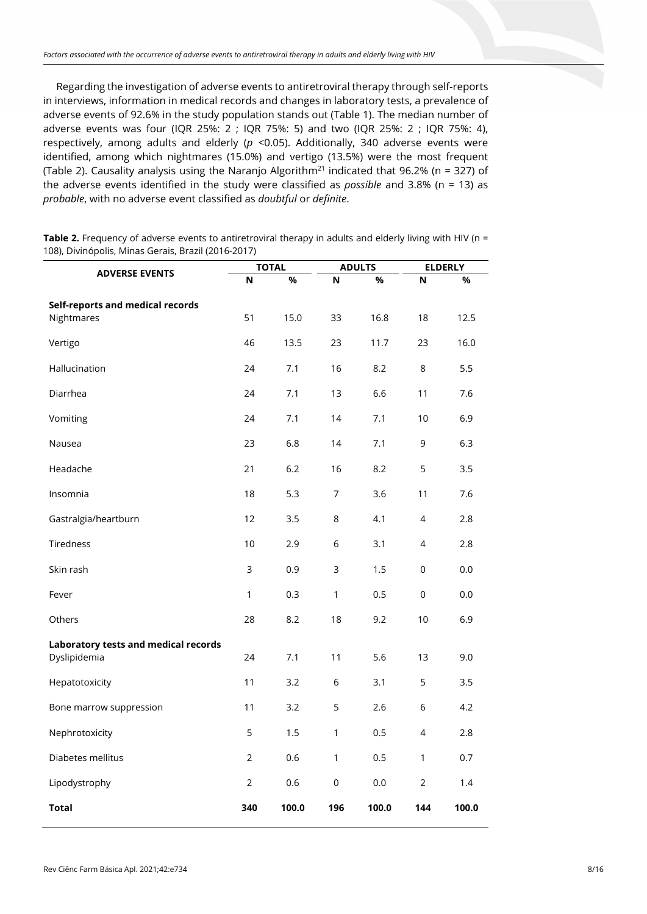Regarding the investigation of adverse events to antiretroviral therapy through self-reports in interviews, information in medical records and changes in laboratory tests, a prevalence of adverse events of 92.6% in the study population stands out (Table 1). The median number of adverse events was four (IQR 25%: 2 ; IQR 75%: 5) and two (IQR 25%: 2 ; IQR 75%: 4), respectively, among adults and elderly (*p* <0.05). Additionally, 340 adverse events were identified, among which nightmares (15.0%) and vertigo (13.5%) were the most frequent (Table 2). Causality analysis using the Naranjo Algorithm<sup>21</sup> indicated that 96.2% (n = 327) of the adverse events identified in the study were classified as *possible* and 3.8% (n = 13) as *probable*, with no adverse event classified as *doubtful* or *definite*.

**Table 2.** Frequency of adverse events to antiretroviral therapy in adults and elderly living with HIV (n = 108), Divinópolis, Minas Gerais, Brazil (2016-2017)

|                                      | <b>TOTAL</b>   |       | <b>ADULTS</b>       |       | <b>ELDERLY</b> |       |
|--------------------------------------|----------------|-------|---------------------|-------|----------------|-------|
| <b>ADVERSE EVENTS</b>                | N              | $\%$  | N                   | %     | N              | %     |
| Self-reports and medical records     |                |       |                     |       |                |       |
| Nightmares                           | 51             | 15.0  | 33                  | 16.8  | 18             | 12.5  |
| Vertigo                              | 46             | 13.5  | 23                  | 11.7  | 23             | 16.0  |
| Hallucination                        | 24             | 7.1   | 16                  | 8.2   | 8              | 5.5   |
| Diarrhea                             | 24             | 7.1   | 13                  | 6.6   | 11             | 7.6   |
| Vomiting                             | 24             | 7.1   | 14                  | 7.1   | 10             | 6.9   |
| Nausea                               | 23             | 6.8   | 14                  | 7.1   | 9              | 6.3   |
| Headache                             | 21             | 6.2   | 16                  | 8.2   | 5              | 3.5   |
| Insomnia                             | 18             | 5.3   | 7                   | 3.6   | 11             | 7.6   |
| Gastralgia/heartburn                 | 12             | 3.5   | 8                   | 4.1   | 4              | 2.8   |
| Tiredness                            | 10             | 2.9   | 6                   | 3.1   | 4              | 2.8   |
| Skin rash                            | $\mathsf 3$    | 0.9   | 3                   | 1.5   | 0              | 0.0   |
| Fever                                | 1              | 0.3   | 1                   | 0.5   | $\mathsf 0$    | 0.0   |
| Others                               | 28             | 8.2   | 18                  | 9.2   | 10             | 6.9   |
| Laboratory tests and medical records |                |       |                     |       |                |       |
| Dyslipidemia                         | 24             | 7.1   | 11                  | 5.6   | 13             | 9.0   |
| Hepatotoxicity                       | 11             | 3.2   | 6                   | 3.1   | 5              | 3.5   |
| Bone marrow suppression              | 11             | 3.2   | 5                   | 2.6   | 6              | 4.2   |
| Nephrotoxicity                       | 5              | 1.5   | 1                   | 0.5   | 4              | 2.8   |
| Diabetes mellitus                    | $\overline{2}$ | 0.6   | 1                   | 0.5   | 1              | 0.7   |
| Lipodystrophy                        | $\overline{2}$ | 0.6   | $\mathsf{O}\xspace$ | 0.0   | $\overline{2}$ | 1.4   |
| <b>Total</b>                         | 340            | 100.0 | 196                 | 100.0 | 144            | 100.0 |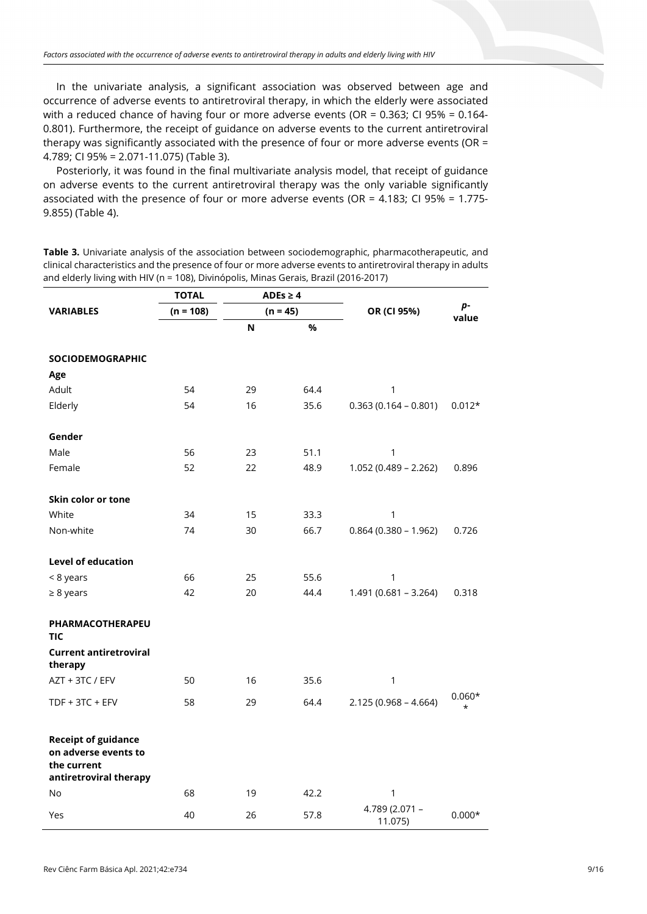In the univariate analysis, a significant association was observed between age and occurrence of adverse events to antiretroviral therapy, in which the elderly were associated with a reduced chance of having four or more adverse events (OR = 0.363; CI 95% = 0.164- 0.801). Furthermore, the receipt of guidance on adverse events to the current antiretroviral therapy was significantly associated with the presence of four or more adverse events (OR = 4.789; CI 95% = 2.071-11.075) (Table 3).

Posteriorly, it was found in the final multivariate analysis model, that receipt of guidance on adverse events to the current antiretroviral therapy was the only variable significantly associated with the presence of four or more adverse events (OR = 4.183; CI 95% = 1.775- 9.855) (Table 4).

**Table 3.** Univariate analysis of the association between sociodemographic, pharmacotherapeutic, and clinical characteristics and the presence of four or more adverse events to antiretroviral therapy in adults and elderly living with HIV (n = 108), Divinópolis, Minas Gerais, Brazil (2016-2017)

|                                                                                             | TOTAL<br>ADEs $\geq 4$ |            |      |                           |                      |
|---------------------------------------------------------------------------------------------|------------------------|------------|------|---------------------------|----------------------|
| <b>VARIABLES</b>                                                                            | $(n = 108)$            | $(n = 45)$ |      | OR (CI 95%)               | р-<br>value          |
|                                                                                             |                        | N          | %    |                           |                      |
| <b>SOCIODEMOGRAPHIC</b>                                                                     |                        |            |      |                           |                      |
| Age                                                                                         |                        |            |      |                           |                      |
| Adult                                                                                       | 54                     | 29         | 64.4 | 1                         |                      |
| Elderly                                                                                     | 54                     | 16         | 35.6 | $0.363(0.164 - 0.801)$    | $0.012*$             |
| Gender                                                                                      |                        |            |      |                           |                      |
| Male                                                                                        | 56                     | 23         | 51.1 | 1                         |                      |
| Female                                                                                      | 52                     | 22         | 48.9 | $1.052(0.489 - 2.262)$    | 0.896                |
| Skin color or tone                                                                          |                        |            |      |                           |                      |
| White                                                                                       | 34                     | 15         | 33.3 | 1                         |                      |
| Non-white                                                                                   | 74                     | 30         | 66.7 | $0.864(0.380 - 1.962)$    | 0.726                |
| <b>Level of education</b>                                                                   |                        |            |      |                           |                      |
| < 8 years                                                                                   | 66                     | 25         | 55.6 | 1                         |                      |
| $\geq 8$ years                                                                              | 42                     | 20         | 44.4 | $1.491(0.681 - 3.264)$    | 0.318                |
| PHARMACOTHERAPEU<br><b>TIC</b>                                                              |                        |            |      |                           |                      |
| <b>Current antiretroviral</b><br>therapy                                                    |                        |            |      |                           |                      |
| AZT + 3TC / EFV                                                                             | 50                     | 16         | 35.6 | 1                         |                      |
| TDF + 3TC + EFV                                                                             | 58                     | 29         | 64.4 | $2.125(0.968 - 4.664)$    | $0.060*$<br>$^\star$ |
| <b>Receipt of guidance</b><br>on adverse events to<br>the current<br>antiretroviral therapy |                        |            |      |                           |                      |
| No                                                                                          | 68                     | 19         | 42.2 | 1                         |                      |
| Yes                                                                                         | 40                     | 26         | 57.8 | 4.789 (2.071 -<br>11.075) | $0.000*$             |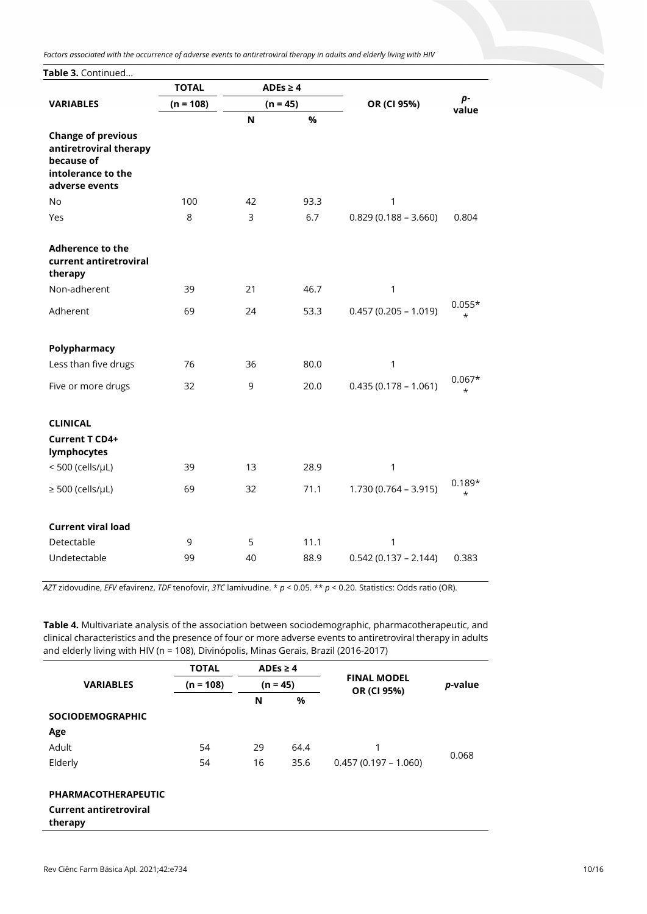*Factors associated with the occurrence of adverse events to antiretroviral therapy in adults and elderly living with HIV*

Table 3. Continued.

|                                                                                                           | <b>TOTAL</b><br>$ADEs \geq 4$ |            |      |                        |                     |  |
|-----------------------------------------------------------------------------------------------------------|-------------------------------|------------|------|------------------------|---------------------|--|
| <b>VARIABLES</b>                                                                                          | $(n = 108)$                   | $(n = 45)$ |      | OR (CI 95%)            | p-<br>value         |  |
|                                                                                                           |                               | N          | %    |                        |                     |  |
| <b>Change of previous</b><br>antiretroviral therapy<br>because of<br>intolerance to the<br>adverse events |                               |            |      |                        |                     |  |
| No                                                                                                        | 100                           | 42         | 93.3 | 1                      |                     |  |
| Yes                                                                                                       | 8                             | 3          | 6.7  | $0.829(0.188 - 3.660)$ | 0.804               |  |
| <b>Adherence to the</b><br>current antiretroviral<br>therapy                                              |                               |            |      |                        |                     |  |
| Non-adherent                                                                                              | 39                            | 21         | 46.7 | $\mathbf 1$            |                     |  |
| Adherent                                                                                                  | 69                            | 24         | 53.3 | $0.457(0.205 - 1.019)$ | $0.055*$<br>$\star$ |  |
|                                                                                                           |                               |            |      |                        |                     |  |
| Polypharmacy                                                                                              |                               |            |      |                        |                     |  |
| Less than five drugs                                                                                      | 76                            | 36         | 80.0 | 1                      |                     |  |
| Five or more drugs                                                                                        | 32                            | 9          | 20.0 | $0.435(0.178 - 1.061)$ | $0.067*$<br>$\star$ |  |
|                                                                                                           |                               |            |      |                        |                     |  |
| <b>CLINICAL</b>                                                                                           |                               |            |      |                        |                     |  |
| Current T CD4+<br>lymphocytes                                                                             |                               |            |      |                        |                     |  |
| $<$ 500 (cells/ $\mu$ L)                                                                                  | 39                            | 13         | 28.9 | 1                      |                     |  |
| $\geq$ 500 (cells/µL)                                                                                     | 69                            | 32         | 71.1 | $1.730(0.764 - 3.915)$ | $0.189*$<br>$\star$ |  |
|                                                                                                           |                               |            |      |                        |                     |  |
| <b>Current viral load</b>                                                                                 |                               |            |      |                        |                     |  |
| Detectable                                                                                                | 9                             | 5          | 11.1 | 1                      |                     |  |
| Undetectable                                                                                              | 99                            | 40         | 88.9 | $0.542(0.137 - 2.144)$ | 0.383               |  |
|                                                                                                           |                               |            |      |                        |                     |  |

*AZT* zidovudine, *EFV* efavirenz, *TDF* tenofovir, *3TC* lamivudine. \* *p* < 0.05. \*\* *p* < 0.20. Statistics: Odds ratio (OR).

**Table 4.** Multivariate analysis of the association between sociodemographic, pharmacotherapeutic, and clinical characteristics and the presence of four or more adverse events to antiretroviral therapy in adults and elderly living with HIV (n = 108), Divinópolis, Minas Gerais, Brazil (2016-2017)

|                         | <b>TOTAL</b> | ADEs $\geq 4$ |      |                        |       |  |  |                                   |                 |
|-------------------------|--------------|---------------|------|------------------------|-------|--|--|-----------------------------------|-----------------|
| <b>VARIABLES</b>        | $(n = 108)$  | $(n = 45)$    |      |                        |       |  |  | <b>FINAL MODEL</b><br>OR (CI 95%) | <i>p</i> -value |
|                         |              | N             | %    |                        |       |  |  |                                   |                 |
| <b>SOCIODEMOGRAPHIC</b> |              |               |      |                        |       |  |  |                                   |                 |
| Age                     |              |               |      |                        |       |  |  |                                   |                 |
| Adult                   | 54           | 29            | 64.4 |                        | 0.068 |  |  |                                   |                 |
| Elderly                 | 54           | 16            | 35.6 | $0.457(0.197 - 1.060)$ |       |  |  |                                   |                 |

#### **PHARMACOTHERAPEUTIC**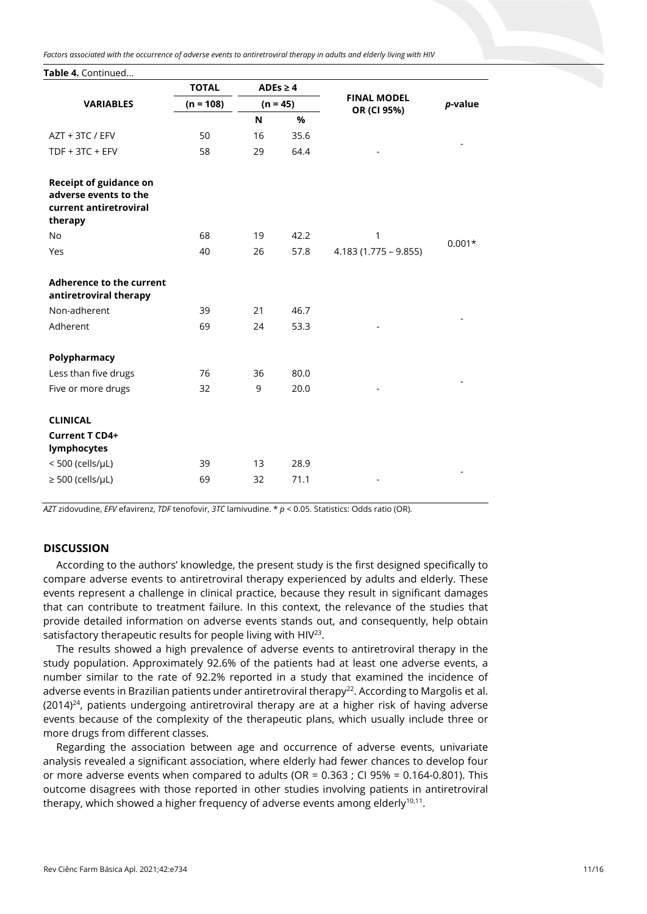*Factors associated with the occurrence of adverse events to antiretroviral therapy in adults and elderly living with HIV*

**Table 4.** Continued...

|                                                                                             | <b>TOTAL</b> | ADEs $\geq 4$<br>$(n = 45)$ |      |                                   |            |
|---------------------------------------------------------------------------------------------|--------------|-----------------------------|------|-----------------------------------|------------|
| <b>VARIABLES</b>                                                                            | $(n = 108)$  |                             |      | <b>FINAL MODEL</b><br>OR (CI 95%) | $p$ -value |
|                                                                                             |              | N                           | %    |                                   |            |
| AZT + 3TC / EFV                                                                             | 50           | 16                          | 35.6 |                                   |            |
| TDF + 3TC + EFV                                                                             | 58           | 29                          | 64.4 |                                   |            |
| <b>Receipt of guidance on</b><br>adverse events to the<br>current antiretroviral<br>therapy |              |                             |      |                                   |            |
| <b>No</b>                                                                                   | 68           | 19                          | 42.2 | 1                                 | $0.001*$   |
| Yes                                                                                         | 40           | 26                          | 57.8 | $4.183(1.775 - 9.855)$            |            |
| <b>Adherence to the current</b><br>antiretroviral therapy                                   |              |                             |      |                                   |            |
| Non-adherent                                                                                | 39           | 21                          | 46.7 |                                   |            |
| Adherent                                                                                    | 69           | 24                          | 53.3 |                                   |            |
| Polypharmacy                                                                                |              |                             |      |                                   |            |
| Less than five drugs                                                                        | 76           | 36                          | 80.0 |                                   |            |
| Five or more drugs                                                                          | 32           | 9                           | 20.0 |                                   |            |
| <b>CLINICAL</b>                                                                             |              |                             |      |                                   |            |
| Current T CD4+<br>lymphocytes                                                               |              |                             |      |                                   |            |
| $<$ 500 (cells/ $\mu$ L)                                                                    | 39           | 13                          | 28.9 |                                   |            |
| $\geq$ 500 (cells/µL)                                                                       | 69           | 32                          | 71.1 |                                   |            |
|                                                                                             |              |                             |      |                                   |            |

*AZT* zidovudine, *EFV* efavirenz, *TDF* tenofovir, *3TC* lamivudine. \* *p* < 0.05. Statistics: Odds ratio (OR).

## **DISCUSSION**

According to the authors' knowledge, the present study is the first designed specifically to compare adverse events to antiretroviral therapy experienced by adults and elderly. These events represent a challenge in clinical practice, because they result in significant damages that can contribute to treatment failure. In this context, the relevance of the studies that provide detailed information on adverse events stands out, and consequently, help obtain satisfactory therapeutic results for people living with HIV<sup>23</sup>.

The results showed a high prevalence of adverse events to antiretroviral therapy in the study population. Approximately 92.6% of the patients had at least one adverse events, a number similar to the rate of 92.2% reported in a study that examined the incidence of adverse events in Brazilian patients under antiretroviral therapy<sup>22</sup>. According to Margolis et al.  $(2014)^{24}$ , patients undergoing antiretroviral therapy are at a higher risk of having adverse events because of the complexity of the therapeutic plans, which usually include three or more drugs from different classes.

Regarding the association between age and occurrence of adverse events, univariate analysis revealed a significant association, where elderly had fewer chances to develop four or more adverse events when compared to adults (OR =  $0.363$ ; CI 95% =  $0.164$ -0.801). This outcome disagrees with those reported in other studies involving patients in antiretroviral therapy, which showed a higher frequency of adverse events among elderly $10,11$ .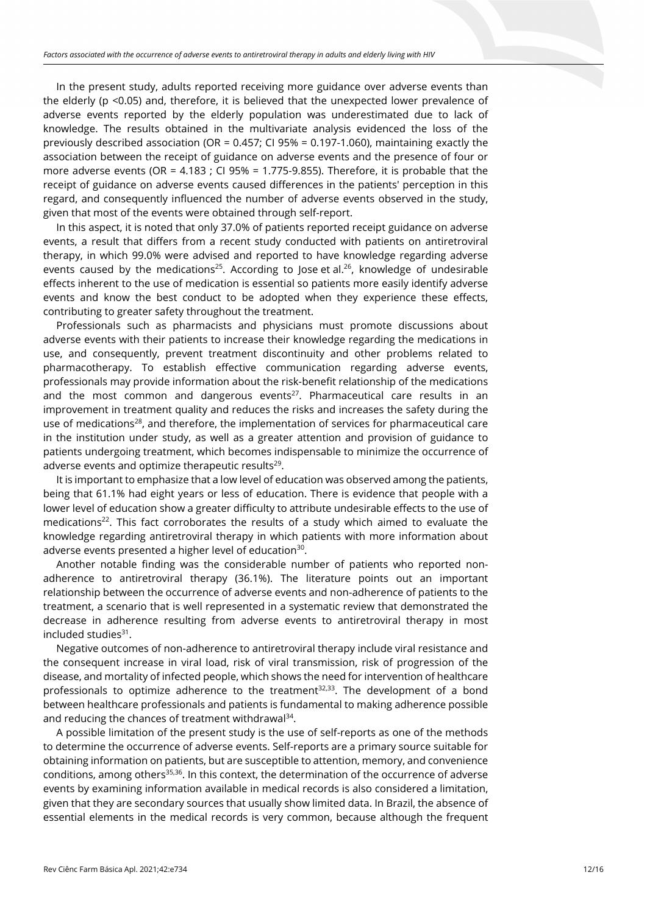In the present study, adults reported receiving more guidance over adverse events than the elderly (p <0.05) and, therefore, it is believed that the unexpected lower prevalence of adverse events reported by the elderly population was underestimated due to lack of knowledge. The results obtained in the multivariate analysis evidenced the loss of the previously described association (OR = 0.457; CI 95% = 0.197-1.060), maintaining exactly the association between the receipt of guidance on adverse events and the presence of four or more adverse events (OR =  $4.183$ ; CI 95% = 1.775-9.855). Therefore, it is probable that the receipt of guidance on adverse events caused differences in the patients' perception in this regard, and consequently influenced the number of adverse events observed in the study, given that most of the events were obtained through self-report.

In this aspect, it is noted that only 37.0% of patients reported receipt guidance on adverse events, a result that differs from a recent study conducted with patients on antiretroviral therapy, in which 99.0% were advised and reported to have knowledge regarding adverse events caused by the medications<sup>25</sup>. According to Jose et al.<sup>26</sup>, knowledge of undesirable effects inherent to the use of medication is essential so patients more easily identify adverse events and know the best conduct to be adopted when they experience these effects, contributing to greater safety throughout the treatment.

Professionals such as pharmacists and physicians must promote discussions about adverse events with their patients to increase their knowledge regarding the medications in use, and consequently, prevent treatment discontinuity and other problems related to pharmacotherapy. To establish effective communication regarding adverse events, professionals may provide information about the risk-benefit relationship of the medications and the most common and dangerous events<sup>27</sup>. Pharmaceutical care results in an improvement in treatment quality and reduces the risks and increases the safety during the use of medications<sup>28</sup>, and therefore, the implementation of services for pharmaceutical care in the institution under study, as well as a greater attention and provision of guidance to patients undergoing treatment, which becomes indispensable to minimize the occurrence of adverse events and optimize therapeutic results<sup>29</sup>.

It is important to emphasize that a low level of education was observed among the patients, being that 61.1% had eight years or less of education. There is evidence that people with a lower level of education show a greater difficulty to attribute undesirable effects to the use of medications<sup>22</sup>. This fact corroborates the results of a study which aimed to evaluate the knowledge regarding antiretroviral therapy in which patients with more information about adverse events presented a higher level of education<sup>30</sup>.

Another notable finding was the considerable number of patients who reported nonadherence to antiretroviral therapy (36.1%). The literature points out an important relationship between the occurrence of adverse events and non-adherence of patients to the treatment, a scenario that is well represented in a systematic review that demonstrated the decrease in adherence resulting from adverse events to antiretroviral therapy in most included studies $31$ .

Negative outcomes of non-adherence to antiretroviral therapy include viral resistance and the consequent increase in viral load, risk of viral transmission, risk of progression of the disease, and mortality of infected people, which shows the need for intervention of healthcare professionals to optimize adherence to the treatment $32,33$ . The development of a bond between healthcare professionals and patients is fundamental to making adherence possible and reducing the chances of treatment withdrawal<sup>34</sup>.

A possible limitation of the present study is the use of self-reports as one of the methods to determine the occurrence of adverse events. Self-reports are a primary source suitable for obtaining information on patients, but are susceptible to attention, memory, and convenience conditions, among others $35,36$ . In this context, the determination of the occurrence of adverse events by examining information available in medical records is also considered a limitation, given that they are secondary sources that usually show limited data. In Brazil, the absence of essential elements in the medical records is very common, because although the frequent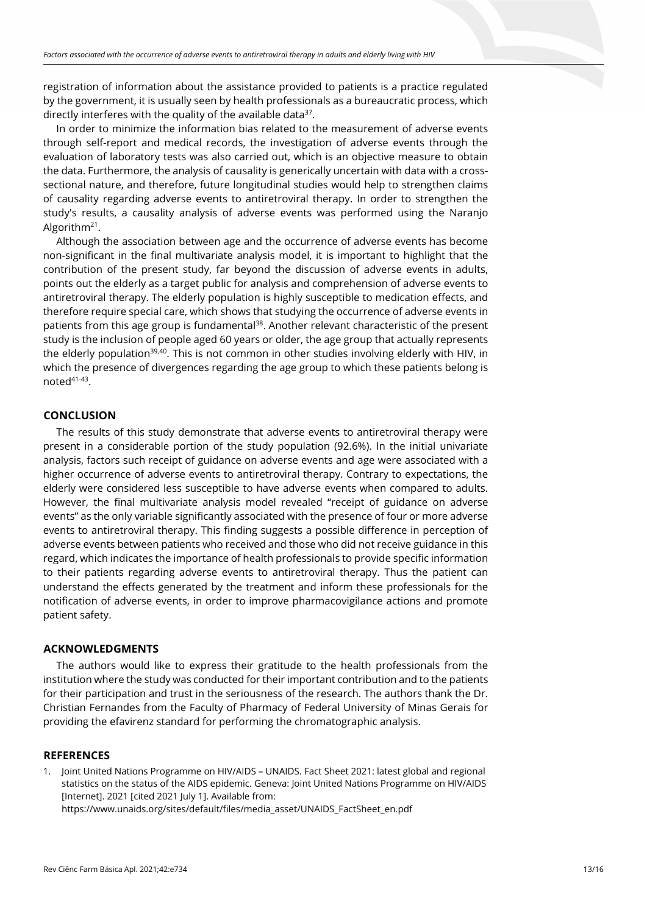registration of information about the assistance provided to patients is a practice regulated by the government, it is usually seen by health professionals as a bureaucratic process, which directly interferes with the quality of the available data $37$ .

In order to minimize the information bias related to the measurement of adverse events through self-report and medical records, the investigation of adverse events through the evaluation of laboratory tests was also carried out, which is an objective measure to obtain the data. Furthermore, the analysis of causality is generically uncertain with data with a crosssectional nature, and therefore, future longitudinal studies would help to strengthen claims of causality regarding adverse events to antiretroviral therapy. In order to strengthen the study's results, a causality analysis of adverse events was performed using the Naranjo Algorithm<sup>21</sup>.

Although the association between age and the occurrence of adverse events has become non-significant in the final multivariate analysis model, it is important to highlight that the contribution of the present study, far beyond the discussion of adverse events in adults, points out the elderly as a target public for analysis and comprehension of adverse events to antiretroviral therapy. The elderly population is highly susceptible to medication effects, and therefore require special care, which shows that studying the occurrence of adverse events in patients from this age group is fundamental<sup>38</sup>. Another relevant characteristic of the present study is the inclusion of people aged 60 years or older, the age group that actually represents the elderly population<sup>39,40</sup>. This is not common in other studies involving elderly with HIV, in which the presence of divergences regarding the age group to which these patients belong is noted41-43.

## **CONCLUSION**

The results of this study demonstrate that adverse events to antiretroviral therapy were present in a considerable portion of the study population (92.6%). In the initial univariate analysis, factors such receipt of guidance on adverse events and age were associated with a higher occurrence of adverse events to antiretroviral therapy. Contrary to expectations, the elderly were considered less susceptible to have adverse events when compared to adults. However, the final multivariate analysis model revealed "receipt of guidance on adverse events" as the only variable significantly associated with the presence of four or more adverse events to antiretroviral therapy. This finding suggests a possible difference in perception of adverse events between patients who received and those who did not receive guidance in this regard, which indicates the importance of health professionals to provide specific information to their patients regarding adverse events to antiretroviral therapy. Thus the patient can understand the effects generated by the treatment and inform these professionals for the notification of adverse events, in order to improve pharmacovigilance actions and promote patient safety.

## **ACKNOWLEDGMENTS**

The authors would like to express their gratitude to the health professionals from the institution where the study was conducted for their important contribution and to the patients for their participation and trust in the seriousness of the research. The authors thank the Dr. Christian Fernandes from the Faculty of Pharmacy of Federal University of Minas Gerais for providing the efavirenz standard for performing the chromatographic analysis.

## **REFERENCES**

1. Joint United Nations Programme on HIV/AIDS – UNAIDS. Fact Sheet 2021: latest global and regional statistics on the status of the AIDS epidemic. Geneva: Joint United Nations Programme on HIV/AIDS [Internet]. 2021 [cited 2021 July 1]. Available from: https://www.unaids.org/sites/default/files/media\_asset/UNAIDS\_FactSheet\_en.pdf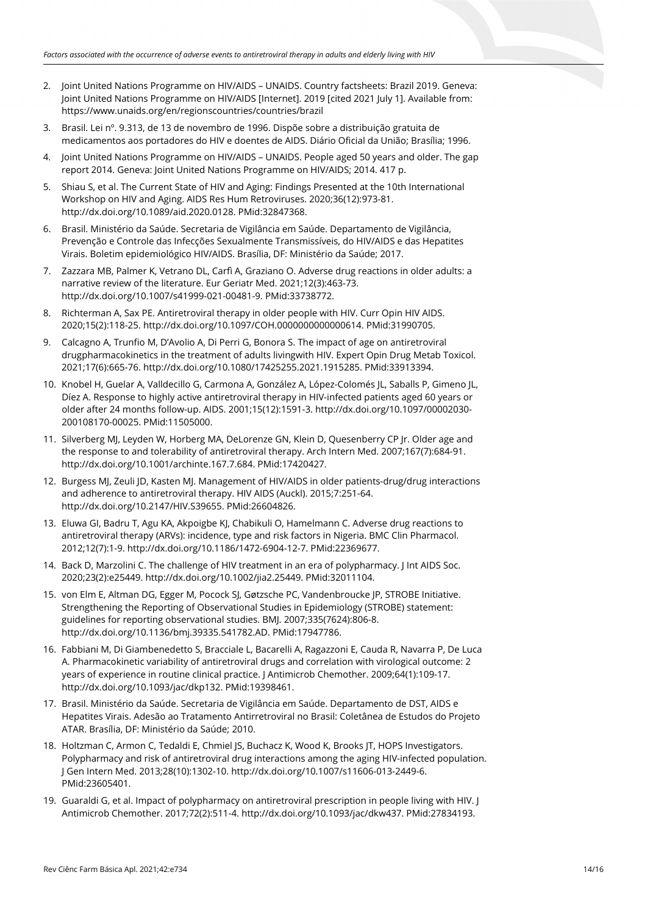- 2. Joint United Nations Programme on HIV/AIDS UNAIDS. Country factsheets: Brazil 2019. Geneva: Joint United Nations Programme on HIV/AIDS [Internet]. 2019 [cited 2021 July 1]. Available from: https://www.unaids.org/en/regionscountries/countries/brazil
- 3. Brasil. Lei nº. 9.313, de 13 de novembro de 1996. Dispõe sobre a distribuição gratuita de medicamentos aos portadores do HIV e doentes de AIDS. Diário Oficial da União; Brasília; 1996.
- 4. Joint United Nations Programme on HIV/AIDS UNAIDS. People aged 50 years and older. The gap report 2014. Geneva: Joint United Nations Programme on HIV/AIDS; 2014. 417 p.
- 5. Shiau S, et al. The Current State of HIV and Aging: Findings Presented at the 10th International Workshop on HIV and Aging. AIDS Res Hum Retroviruses. 2020;36(12):973-81. [http://dx.doi.org/10.1089/aid.2020.0128.](https://doi.org/10.1089/aid.2020.0128) [PMid:32847368.](https://www.ncbi.nlm.nih.gov/entrez/query.fcgi?cmd=Retrieve&db=PubMed&list_uids=32847368&dopt=Abstract)
- 6. Brasil. Ministério da Saúde. Secretaria de Vigilância em Saúde. Departamento de Vigilância, Prevenção e Controle das Infecções Sexualmente Transmissíveis, do HIV/AIDS e das Hepatites Virais. Boletim epidemiológico HIV/AIDS. Brasília, DF: Ministério da Saúde; 2017.
- 7. Zazzara MB, Palmer K, Vetrano DL, Carfì A, Graziano O. Adverse drug reactions in older adults: a narrative review of the literature. Eur Geriatr Med. 2021;12(3):463-73. [http://dx.doi.org/10.1007/s41999-021-00481-9.](https://doi.org/10.1007/s41999-021-00481-9) [PMid:33738772.](https://www.ncbi.nlm.nih.gov/entrez/query.fcgi?cmd=Retrieve&db=PubMed&list_uids=33738772&dopt=Abstract)
- 8. Richterman A, Sax PE. Antiretroviral therapy in older people with HIV. Curr Opin HIV AIDS. 2020;15(2):118-25. [http://dx.doi.org/10.1097/COH.0000000000000614.](https://doi.org/10.1097/COH.0000000000000614) [PMid:31990705.](https://www.ncbi.nlm.nih.gov/entrez/query.fcgi?cmd=Retrieve&db=PubMed&list_uids=31990705&dopt=Abstract)
- 9. Calcagno A, Trunfio M, D'Avolio A, Di Perri G, Bonora S. The impact of age on antiretroviral drugpharmacokinetics in the treatment of adults livingwith HIV. Expert Opin Drug Metab Toxicol. 2021;17(6):665-76. [http://dx.doi.org/10.1080/17425255.2021.1915285.](https://doi.org/10.1080/17425255.2021.1915285) [PMid:33913394.](https://www.ncbi.nlm.nih.gov/entrez/query.fcgi?cmd=Retrieve&db=PubMed&list_uids=33913394&dopt=Abstract)
- 10. Knobel H, Guelar A, Valldecillo G, Carmona A, González A, López-Colomés JL, Saballs P, Gimeno JL, Díez A. Response to highly active antiretroviral therapy in HIV-infected patients aged 60 years or older after 24 months follow-up. AIDS. 2001;15(12):1591-3[. http://dx.doi.org/10.1097/00002030-](https://doi.org/10.1097/00002030-200108170-00025) [200108170-00025.](https://doi.org/10.1097/00002030-200108170-00025) [PMid:11505000.](https://www.ncbi.nlm.nih.gov/entrez/query.fcgi?cmd=Retrieve&db=PubMed&list_uids=11505000&dopt=Abstract)
- 11. Silverberg MJ, Leyden W, Horberg MA, DeLorenze GN, Klein D, Quesenberry CP Jr. Older age and the response to and tolerability of antiretroviral therapy. Arch Intern Med. 2007;167(7):684-91. [http://dx.doi.org/10.1001/archinte.167.7.684.](https://doi.org/10.1001/archinte.167.7.684) [PMid:17420427.](https://www.ncbi.nlm.nih.gov/entrez/query.fcgi?cmd=Retrieve&db=PubMed&list_uids=17420427&dopt=Abstract)
- 12. Burgess MJ, Zeuli JD, Kasten MJ. Management of HIV/AIDS in older patients-drug/drug interactions and adherence to antiretroviral therapy. HIV AIDS (Auckl). 2015;7:251-64. [http://dx.doi.org/10.2147/HIV.S39655.](https://doi.org/10.2147/HIV.S39655) [PMid:26604826.](https://www.ncbi.nlm.nih.gov/entrez/query.fcgi?cmd=Retrieve&db=PubMed&list_uids=26604826&dopt=Abstract)
- 13. Eluwa GI, Badru T, Agu KA, Akpoigbe KJ, Chabikuli O, Hamelmann C. Adverse drug reactions to antiretroviral therapy (ARVs): incidence, type and risk factors in Nigeria. BMC Clin Pharmacol. 2012;12(7):1-9. http://dx.doi.org/10.1186/1472-6904-12-7. [PMid:22369677.](https://www.ncbi.nlm.nih.gov/entrez/query.fcgi?cmd=Retrieve&db=PubMed&list_uids=22369677&dopt=Abstract)
- 14. Back D, Marzolini C. The challenge of HIV treatment in an era of polypharmacy. J Int AIDS Soc. 2020;23(2):e25449. [http://dx.doi.org/10.1002/jia2.25449.](https://doi.org/10.1002/jia2.25449) [PMid:32011104.](https://www.ncbi.nlm.nih.gov/entrez/query.fcgi?cmd=Retrieve&db=PubMed&list_uids=32011104&dopt=Abstract)
- 15. von Elm E, Altman DG, Egger M, Pocock SJ, Gøtzsche PC, Vandenbroucke JP, STROBE Initiative. Strengthening the Reporting of Observational Studies in Epidemiology (STROBE) statement: guidelines for reporting observational studies. BMJ. 2007;335(7624):806-8. [http://dx.doi.org/10.1136/bmj.39335.541782.AD.](https://doi.org/10.1136/bmj.39335.541782.AD) [PMid:17947786.](https://www.ncbi.nlm.nih.gov/entrez/query.fcgi?cmd=Retrieve&db=PubMed&list_uids=17947786&dopt=Abstract)
- 16. Fabbiani M, Di Giambenedetto S, Bracciale L, Bacarelli A, Ragazzoni E, Cauda R, Navarra P, De Luca A. Pharmacokinetic variability of antiretroviral drugs and correlation with virological outcome: 2 years of experience in routine clinical practice. J Antimicrob Chemother. 2009;64(1):109-17. [http://dx.doi.org/10.1093/jac/dkp132.](https://doi.org/10.1093/jac/dkp132) [PMid:19398461.](https://www.ncbi.nlm.nih.gov/entrez/query.fcgi?cmd=Retrieve&db=PubMed&list_uids=19398461&dopt=Abstract)
- 17. Brasil. Ministério da Saúde. Secretaria de Vigilância em Saúde. Departamento de DST, AIDS e Hepatites Virais. Adesão ao Tratamento Antirretroviral no Brasil: Coletânea de Estudos do Projeto ATAR. Brasília, DF: Ministério da Saúde; 2010.
- 18. Holtzman C, Armon C, Tedaldi E, Chmiel JS, Buchacz K, Wood K, Brooks JT, HOPS Investigators. Polypharmacy and risk of antiretroviral drug interactions among the aging HIV-infected population. J Gen Intern Med. 2013;28(10):1302-10[. http://dx.doi.org/10.1007/s11606-013-2449-6.](https://doi.org/10.1007/s11606-013-2449-6) [PMid:23605401.](https://www.ncbi.nlm.nih.gov/entrez/query.fcgi?cmd=Retrieve&db=PubMed&list_uids=23605401&dopt=Abstract)
- 19. Guaraldi G, et al. Impact of polypharmacy on antiretroviral prescription in people living with HIV. J Antimicrob Chemother. 2017;72(2):511-4[. http://dx.doi.org/10.1093/jac/dkw437.](https://doi.org/10.1093/jac/dkw437) [PMid:27834193.](https://www.ncbi.nlm.nih.gov/entrez/query.fcgi?cmd=Retrieve&db=PubMed&list_uids=27834193&dopt=Abstract)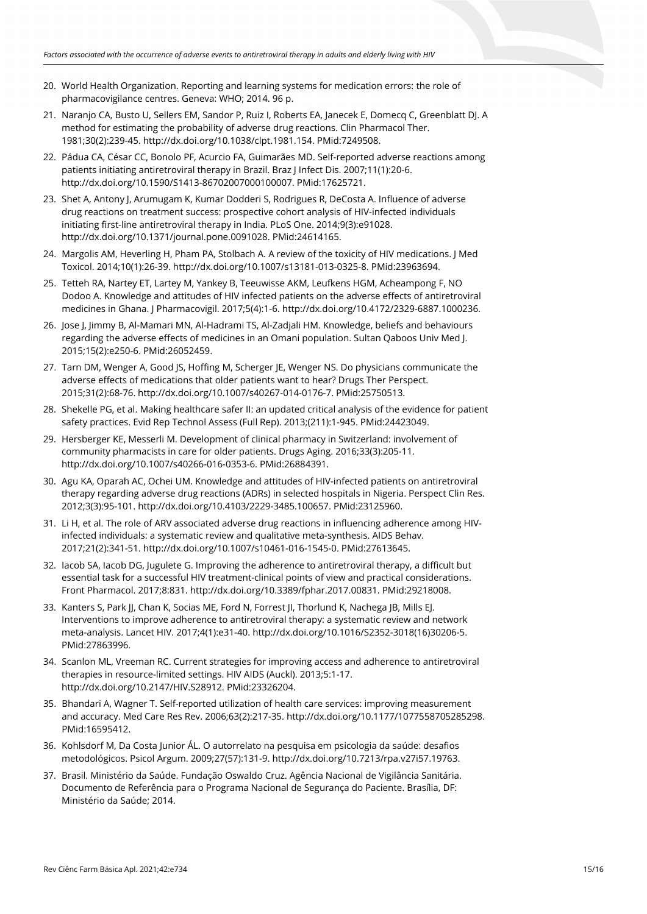- 20. World Health Organization. Reporting and learning systems for medication errors: the role of pharmacovigilance centres. Geneva: WHO; 2014. 96 p.
- 21. Naranjo CA, Busto U, Sellers EM, Sandor P, Ruiz I, Roberts EA, Janecek E, Domecq C, Greenblatt DJ. A method for estimating the probability of adverse drug reactions. Clin Pharmacol Ther. 1981;30(2):239-45. [http://dx.doi.org/10.1038/clpt.1981.154.](https://doi.org/10.1038/clpt.1981.154) [PMid:7249508.](https://www.ncbi.nlm.nih.gov/entrez/query.fcgi?cmd=Retrieve&db=PubMed&list_uids=7249508&dopt=Abstract)
- 22. Pádua CA, César CC, Bonolo PF, Acurcio FA, Guimarães MD. Self-reported adverse reactions among patients initiating antiretroviral therapy in Brazil. Braz J Infect Dis. 2007;11(1):20-6. http://dx.doi.org/10.1590/S1413-86702007000100007. [PMid:17625721.](https://www.ncbi.nlm.nih.gov/entrez/query.fcgi?cmd=Retrieve&db=PubMed&list_uids=17625721&dopt=Abstract)
- 23. Shet A, Antony J, Arumugam K, Kumar Dodderi S, Rodrigues R, DeCosta A. Influence of adverse drug reactions on treatment success: prospective cohort analysis of HIV-infected individuals initiating first-line antiretroviral therapy in India. PLoS One. 2014;9(3):e91028. [http://dx.doi.org/10.1371/journal.pone.0091028.](https://doi.org/10.1371/journal.pone.0091028) [PMid:24614165.](https://www.ncbi.nlm.nih.gov/entrez/query.fcgi?cmd=Retrieve&db=PubMed&list_uids=24614165&dopt=Abstract)
- 24. Margolis AM, Heverling H, Pham PA, Stolbach A. A review of the toxicity of HIV medications. J Med Toxicol. 2014;10(1):26-39[. http://dx.doi.org/10.1007/s13181-013-0325-8.](https://doi.org/10.1007/s13181-013-0325-8) [PMid:23963694.](https://www.ncbi.nlm.nih.gov/entrez/query.fcgi?cmd=Retrieve&db=PubMed&list_uids=23963694&dopt=Abstract)
- 25. Tetteh RA, Nartey ET, Lartey M, Yankey B, Teeuwisse AKM, Leufkens HGM, Acheampong F, NO Dodoo A. Knowledge and attitudes of HIV infected patients on the adverse effects of antiretroviral medicines in Ghana. J Pharmacovigil. 2017;5(4):1-6[. http://dx.doi.org/10.4172/2329-6887.1000236.](https://doi.org/10.4172/2329-6887.1000236)
- 26. Jose J, Jimmy B, Al-Mamari MN, Al-Hadrami TS, Al-Zadjali HM. Knowledge, beliefs and behaviours regarding the adverse effects of medicines in an Omani population. Sultan Qaboos Univ Med J. 2015;15(2):e250-6. [PMid:26052459.](https://www.ncbi.nlm.nih.gov/entrez/query.fcgi?cmd=Retrieve&db=PubMed&list_uids=26052459&dopt=Abstract)
- 27. Tarn DM, Wenger A, Good JS, Hoffing M, Scherger JE, Wenger NS. Do physicians communicate the adverse effects of medications that older patients want to hear? Drugs Ther Perspect. 2015;31(2):68-76. [http://dx.doi.org/10.1007/s40267-014-0176-7.](https://doi.org/10.1007/s40267-014-0176-7) [PMid:25750513.](https://www.ncbi.nlm.nih.gov/entrez/query.fcgi?cmd=Retrieve&db=PubMed&list_uids=25750513&dopt=Abstract)
- 28. Shekelle PG, et al. Making healthcare safer II: an updated critical analysis of the evidence for patient safety practices. Evid Rep Technol Assess (Full Rep). 2013;(211):1-945. [PMid:24423049.](https://www.ncbi.nlm.nih.gov/entrez/query.fcgi?cmd=Retrieve&db=PubMed&list_uids=24423049&dopt=Abstract)
- 29. Hersberger KE, Messerli M. Development of clinical pharmacy in Switzerland: involvement of community pharmacists in care for older patients. Drugs Aging. 2016;33(3):205-11. [http://dx.doi.org/10.1007/s40266-016-0353-6.](https://doi.org/10.1007/s40266-016-0353-6) [PMid:26884391.](https://www.ncbi.nlm.nih.gov/entrez/query.fcgi?cmd=Retrieve&db=PubMed&list_uids=26884391&dopt=Abstract)
- 30. Agu KA, Oparah AC, Ochei UM. Knowledge and attitudes of HIV-infected patients on antiretroviral therapy regarding adverse drug reactions (ADRs) in selected hospitals in Nigeria. Perspect Clin Res. 2012;3(3):95-101. [http://dx.doi.org/10.4103/2229-3485.100657.](https://doi.org/10.4103/2229-3485.100657) [PMid:23125960.](https://www.ncbi.nlm.nih.gov/entrez/query.fcgi?cmd=Retrieve&db=PubMed&list_uids=23125960&dopt=Abstract)
- 31. Li H, et al. The role of ARV associated adverse drug reactions in influencing adherence among HIVinfected individuals: a systematic review and qualitative meta-synthesis. AIDS Behav. 2017;21(2):341-51. [http://dx.doi.org/10.1007/s10461-016-1545-0.](https://doi.org/10.1007/s10461-016-1545-0) [PMid:27613645.](https://www.ncbi.nlm.nih.gov/entrez/query.fcgi?cmd=Retrieve&db=PubMed&list_uids=27613645&dopt=Abstract)
- 32. Iacob SA, Iacob DG, Jugulete G. Improving the adherence to antiretroviral therapy, a difficult but essential task for a successful HIV treatment-clinical points of view and practical considerations. Front Pharmacol. 2017;8:831. [http://dx.doi.org/10.3389/fphar.2017.00831.](https://doi.org/10.3389/fphar.2017.00831) [PMid:29218008.](https://www.ncbi.nlm.nih.gov/entrez/query.fcgi?cmd=Retrieve&db=PubMed&list_uids=29218008&dopt=Abstract)
- 33. Kanters S, Park JJ, Chan K, Socias ME, Ford N, Forrest JI, Thorlund K, Nachega JB, Mills EJ. Interventions to improve adherence to antiretroviral therapy: a systematic review and network meta-analysis. Lancet HIV. 2017;4(1):e31-40[. http://dx.doi.org/10.1016/S2352-3018\(16\)30206-5](https://doi.org/10.1016/S2352-3018(16)30206-5)[.](https://www.ncbi.nlm.nih.gov/entrez/query.fcgi?cmd=Retrieve&db=PubMed&list_uids=27863996&dopt=Abstract) [PMid:27863996.](https://www.ncbi.nlm.nih.gov/entrez/query.fcgi?cmd=Retrieve&db=PubMed&list_uids=27863996&dopt=Abstract)
- 34. Scanlon ML, Vreeman RC. Current strategies for improving access and adherence to antiretroviral therapies in resource-limited settings. HIV AIDS (Auckl). 2013;5:1-17. http://dx.doi.org/10.2147/HIV.S28912. [PMid:23326204.](https://www.ncbi.nlm.nih.gov/entrez/query.fcgi?cmd=Retrieve&db=PubMed&list_uids=23326204&dopt=Abstract)
- 35. Bhandari A, Wagner T. Self-reported utilization of health care services: improving measurement and accuracy. Med Care Res Rev. 2006;63(2):217-35[. http://dx.doi.org/10.1177/1077558705285298](https://doi.org/10.1177/1077558705285298)[.](https://www.ncbi.nlm.nih.gov/entrez/query.fcgi?cmd=Retrieve&db=PubMed&list_uids=16595412&dopt=Abstract) [PMid:16595412.](https://www.ncbi.nlm.nih.gov/entrez/query.fcgi?cmd=Retrieve&db=PubMed&list_uids=16595412&dopt=Abstract)
- 36. Kohlsdorf M, Da Costa Junior ÁL. O autorrelato na pesquisa em psicologia da saúde: desafios metodológicos. Psicol Argum. 2009;27(57):131-9[. http://dx.doi.org/10.7213/rpa.v27i57.19763.](https://doi.org/10.7213/rpa.v27i57.19763)
- 37. Brasil. Ministério da Saúde. Fundação Oswaldo Cruz. Agência Nacional de Vigilância Sanitária. Documento de Referência para o Programa Nacional de Segurança do Paciente. Brasília, DF: Ministério da Saúde; 2014.